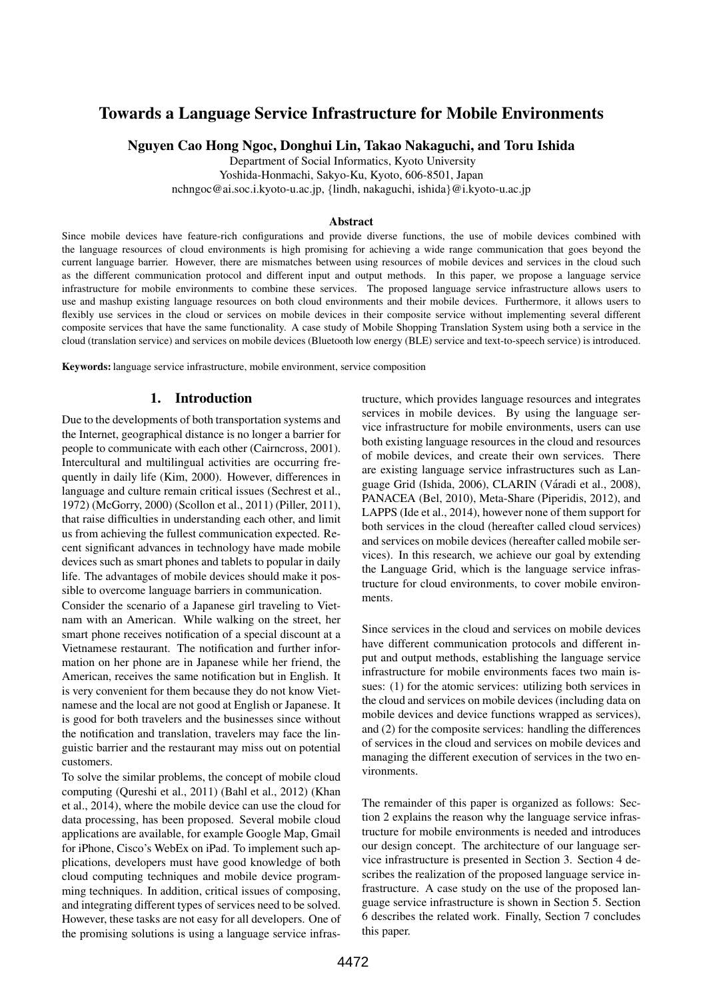# Towards a Language Service Infrastructure for Mobile Environments

Nguyen Cao Hong Ngoc, Donghui Lin, Takao Nakaguchi, and Toru Ishida

Department of Social Informatics, Kyoto University Yoshida-Honmachi, Sakyo-Ku, Kyoto, 606-8501, Japan

nchngoc@ai.soc.i.kyoto-u.ac.jp, {lindh, nakaguchi, ishida}@i.kyoto-u.ac.jp

#### Abstract

Since mobile devices have feature-rich configurations and provide diverse functions, the use of mobile devices combined with the language resources of cloud environments is high promising for achieving a wide range communication that goes beyond the current language barrier. However, there are mismatches between using resources of mobile devices and services in the cloud such as the different communication protocol and different input and output methods. In this paper, we propose a language service infrastructure for mobile environments to combine these services. The proposed language service infrastructure allows users to use and mashup existing language resources on both cloud environments and their mobile devices. Furthermore, it allows users to flexibly use services in the cloud or services on mobile devices in their composite service without implementing several different composite services that have the same functionality. A case study of Mobile Shopping Translation System using both a service in the cloud (translation service) and services on mobile devices (Bluetooth low energy (BLE) service and text-to-speech service) is introduced.

Keywords: language service infrastructure, mobile environment, service composition

### 1. Introduction

Due to the developments of both transportation systems and the Internet, geographical distance is no longer a barrier for people to communicate with each other (Cairncross, 2001). Intercultural and multilingual activities are occurring frequently in daily life (Kim, 2000). However, differences in language and culture remain critical issues (Sechrest et al., 1972) (McGorry, 2000) (Scollon et al., 2011) (Piller, 2011), that raise difficulties in understanding each other, and limit us from achieving the fullest communication expected. Recent significant advances in technology have made mobile devices such as smart phones and tablets to popular in daily life. The advantages of mobile devices should make it possible to overcome language barriers in communication.

Consider the scenario of a Japanese girl traveling to Vietnam with an American. While walking on the street, her smart phone receives notification of a special discount at a Vietnamese restaurant. The notification and further information on her phone are in Japanese while her friend, the American, receives the same notification but in English. It is very convenient for them because they do not know Vietnamese and the local are not good at English or Japanese. It is good for both travelers and the businesses since without the notification and translation, travelers may face the linguistic barrier and the restaurant may miss out on potential customers.

To solve the similar problems, the concept of mobile cloud computing (Qureshi et al., 2011) (Bahl et al., 2012) (Khan et al., 2014), where the mobile device can use the cloud for data processing, has been proposed. Several mobile cloud applications are available, for example Google Map, Gmail for iPhone, Cisco's WebEx on iPad. To implement such applications, developers must have good knowledge of both cloud computing techniques and mobile device programming techniques. In addition, critical issues of composing, and integrating different types of services need to be solved. However, these tasks are not easy for all developers. One of the promising solutions is using a language service infrastructure, which provides language resources and integrates services in mobile devices. By using the language service infrastructure for mobile environments, users can use both existing language resources in the cloud and resources of mobile devices, and create their own services. There are existing language service infrastructures such as Language Grid (Ishida, 2006), CLARIN (Váradi et al., 2008), PANACEA (Bel, 2010), Meta-Share (Piperidis, 2012), and LAPPS (Ide et al., 2014), however none of them support for both services in the cloud (hereafter called cloud services) and services on mobile devices (hereafter called mobile services). In this research, we achieve our goal by extending the Language Grid, which is the language service infrastructure for cloud environments, to cover mobile environments.

Since services in the cloud and services on mobile devices have different communication protocols and different input and output methods, establishing the language service infrastructure for mobile environments faces two main issues: (1) for the atomic services: utilizing both services in the cloud and services on mobile devices (including data on mobile devices and device functions wrapped as services), and (2) for the composite services: handling the differences of services in the cloud and services on mobile devices and managing the different execution of services in the two environments.

The remainder of this paper is organized as follows: Section 2 explains the reason why the language service infrastructure for mobile environments is needed and introduces our design concept. The architecture of our language service infrastructure is presented in Section 3. Section 4 describes the realization of the proposed language service infrastructure. A case study on the use of the proposed language service infrastructure is shown in Section 5. Section 6 describes the related work. Finally, Section 7 concludes this paper.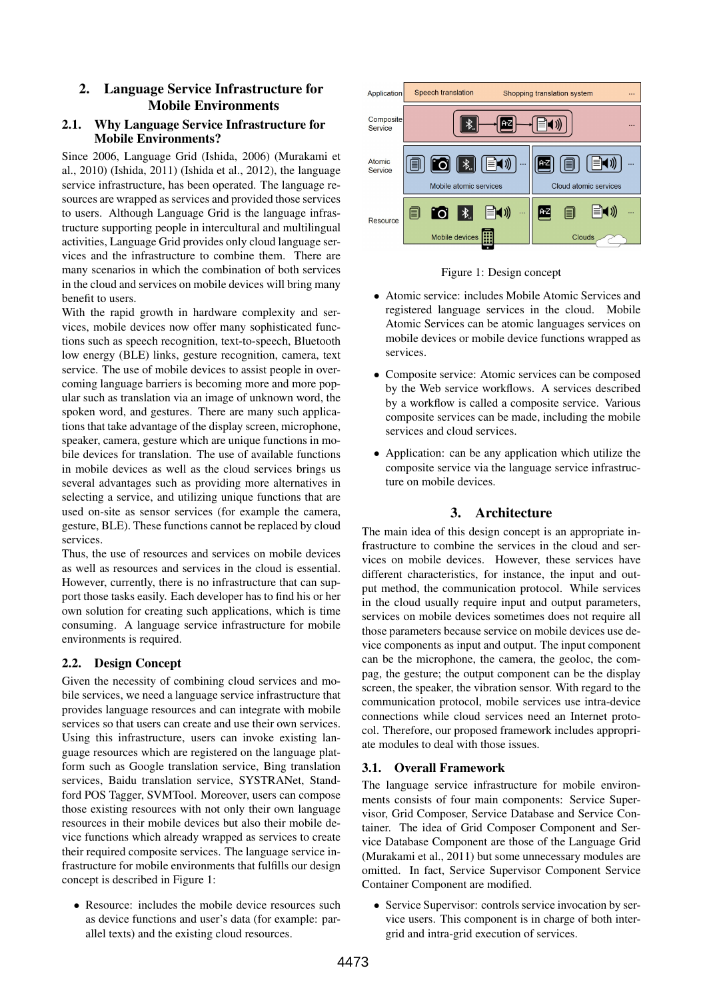# 2. Language Service Infrastructure for Mobile Environments

# 2.1. Why Language Service Infrastructure for Mobile Environments?

Since 2006, Language Grid (Ishida, 2006) (Murakami et al., 2010) (Ishida, 2011) (Ishida et al., 2012), the language service infrastructure, has been operated. The language resources are wrapped as services and provided those services to users. Although Language Grid is the language infrastructure supporting people in intercultural and multilingual activities, Language Grid provides only cloud language services and the infrastructure to combine them. There are many scenarios in which the combination of both services in the cloud and services on mobile devices will bring many benefit to users.

With the rapid growth in hardware complexity and services, mobile devices now offer many sophisticated functions such as speech recognition, text-to-speech, Bluetooth low energy (BLE) links, gesture recognition, camera, text service. The use of mobile devices to assist people in overcoming language barriers is becoming more and more popular such as translation via an image of unknown word, the spoken word, and gestures. There are many such applications that take advantage of the display screen, microphone, speaker, camera, gesture which are unique functions in mobile devices for translation. The use of available functions in mobile devices as well as the cloud services brings us several advantages such as providing more alternatives in selecting a service, and utilizing unique functions that are used on-site as sensor services (for example the camera, gesture, BLE). These functions cannot be replaced by cloud services.

Thus, the use of resources and services on mobile devices as well as resources and services in the cloud is essential. However, currently, there is no infrastructure that can support those tasks easily. Each developer has to find his or her own solution for creating such applications, which is time consuming. A language service infrastructure for mobile environments is required.

# 2.2. Design Concept

Given the necessity of combining cloud services and mobile services, we need a language service infrastructure that provides language resources and can integrate with mobile services so that users can create and use their own services. Using this infrastructure, users can invoke existing language resources which are registered on the language platform such as Google translation service, Bing translation services, Baidu translation service, SYSTRANet, Standford POS Tagger, SVMTool. Moreover, users can compose those existing resources with not only their own language resources in their mobile devices but also their mobile device functions which already wrapped as services to create their required composite services. The language service infrastructure for mobile environments that fulfills our design concept is described in Figure 1:

• Resource: includes the mobile device resources such as device functions and user's data (for example: parallel texts) and the existing cloud resources.





- Atomic service: includes Mobile Atomic Services and registered language services in the cloud. Mobile Atomic Services can be atomic languages services on mobile devices or mobile device functions wrapped as services.
- Composite service: Atomic services can be composed by the Web service workflows. A services described by a workflow is called a composite service. Various composite services can be made, including the mobile services and cloud services.
- Application: can be any application which utilize the composite service via the language service infrastructure on mobile devices.

# 3. Architecture

The main idea of this design concept is an appropriate infrastructure to combine the services in the cloud and services on mobile devices. However, these services have different characteristics, for instance, the input and output method, the communication protocol. While services in the cloud usually require input and output parameters, services on mobile devices sometimes does not require all those parameters because service on mobile devices use device components as input and output. The input component can be the microphone, the camera, the geoloc, the compag, the gesture; the output component can be the display screen, the speaker, the vibration sensor. With regard to the communication protocol, mobile services use intra-device connections while cloud services need an Internet protocol. Therefore, our proposed framework includes appropriate modules to deal with those issues.

# 3.1. Overall Framework

The language service infrastructure for mobile environments consists of four main components: Service Supervisor, Grid Composer, Service Database and Service Container. The idea of Grid Composer Component and Service Database Component are those of the Language Grid (Murakami et al., 2011) but some unnecessary modules are omitted. In fact, Service Supervisor Component Service Container Component are modified.

• Service Supervisor: controls service invocation by service users. This component is in charge of both intergrid and intra-grid execution of services.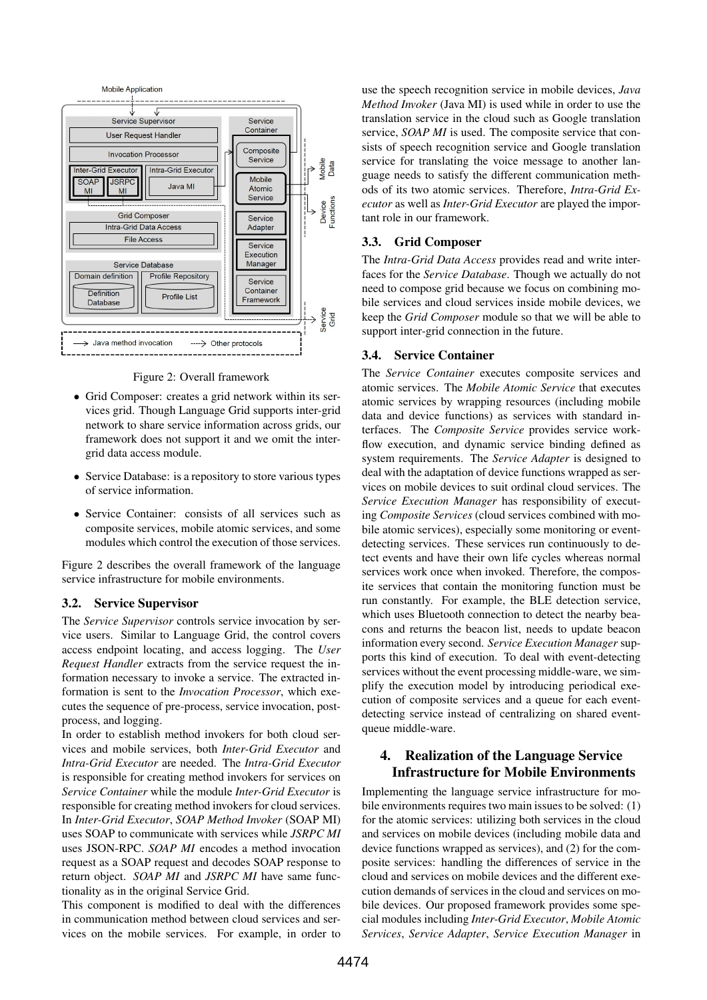

Figure 2: Overall framework

- Grid Composer: creates a grid network within its services grid. Though Language Grid supports inter-grid network to share service information across grids, our framework does not support it and we omit the intergrid data access module.
- Service Database: is a repository to store various types of service information.
- Service Container: consists of all services such as composite services, mobile atomic services, and some modules which control the execution of those services.

Figure 2 describes the overall framework of the language service infrastructure for mobile environments.

### 3.2. Service Supervisor

The *Service Supervisor* controls service invocation by service users. Similar to Language Grid, the control covers access endpoint locating, and access logging. The *User Request Handler* extracts from the service request the information necessary to invoke a service. The extracted information is sent to the *Invocation Processor*, which executes the sequence of pre-process, service invocation, postprocess, and logging.

In order to establish method invokers for both cloud services and mobile services, both *Inter-Grid Executor* and *Intra-Grid Executor* are needed. The *Intra-Grid Executor* is responsible for creating method invokers for services on *Service Container* while the module *Inter-Grid Executor* is responsible for creating method invokers for cloud services. In *Inter-Grid Executor*, *SOAP Method Invoker* (SOAP MI) uses SOAP to communicate with services while *JSRPC MI* uses JSON-RPC. *SOAP MI* encodes a method invocation request as a SOAP request and decodes SOAP response to return object. *SOAP MI* and *JSRPC MI* have same functionality as in the original Service Grid.

This component is modified to deal with the differences in communication method between cloud services and services on the mobile services. For example, in order to use the speech recognition service in mobile devices, *Java Method Invoker* (Java MI) is used while in order to use the translation service in the cloud such as Google translation service, *SOAP MI* is used. The composite service that consists of speech recognition service and Google translation service for translating the voice message to another language needs to satisfy the different communication methods of its two atomic services. Therefore, *Intra-Grid Executor* as well as *Inter-Grid Executor* are played the important role in our framework.

### 3.3. Grid Composer

The *Intra-Grid Data Access* provides read and write interfaces for the *Service Database*. Though we actually do not need to compose grid because we focus on combining mobile services and cloud services inside mobile devices, we keep the *Grid Composer* module so that we will be able to support inter-grid connection in the future.

### 3.4. Service Container

The *Service Container* executes composite services and atomic services. The *Mobile Atomic Service* that executes atomic services by wrapping resources (including mobile data and device functions) as services with standard interfaces. The *Composite Service* provides service workflow execution, and dynamic service binding defined as system requirements. The *Service Adapter* is designed to deal with the adaptation of device functions wrapped as services on mobile devices to suit ordinal cloud services. The *Service Execution Manager* has responsibility of executing *Composite Services* (cloud services combined with mobile atomic services), especially some monitoring or eventdetecting services. These services run continuously to detect events and have their own life cycles whereas normal services work once when invoked. Therefore, the composite services that contain the monitoring function must be run constantly. For example, the BLE detection service, which uses Bluetooth connection to detect the nearby beacons and returns the beacon list, needs to update beacon information every second. *Service Execution Manager* supports this kind of execution. To deal with event-detecting services without the event processing middle-ware, we simplify the execution model by introducing periodical execution of composite services and a queue for each eventdetecting service instead of centralizing on shared eventqueue middle-ware.

# 4. Realization of the Language Service Infrastructure for Mobile Environments

Implementing the language service infrastructure for mobile environments requires two main issues to be solved: (1) for the atomic services: utilizing both services in the cloud and services on mobile devices (including mobile data and device functions wrapped as services), and (2) for the composite services: handling the differences of service in the cloud and services on mobile devices and the different execution demands of services in the cloud and services on mobile devices. Our proposed framework provides some special modules including *Inter-Grid Executor*, *Mobile Atomic Services*, *Service Adapter*, *Service Execution Manager* in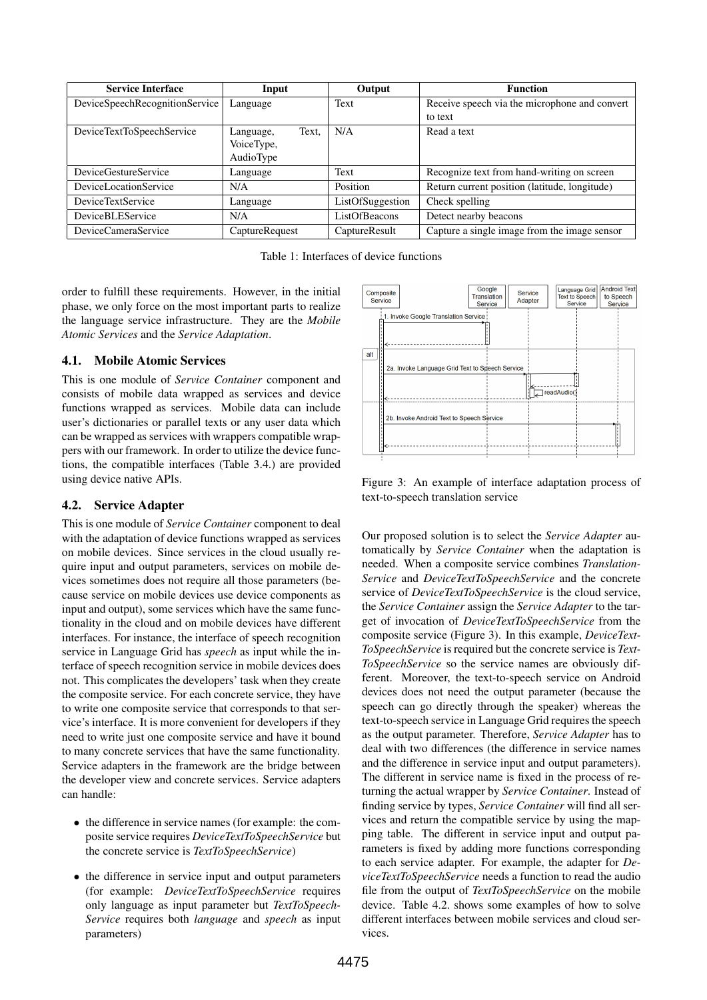| <b>Service Interface</b>       | Input              | Output           | <b>Function</b>                               |
|--------------------------------|--------------------|------------------|-----------------------------------------------|
| DeviceSpeechRecognitionService | Language           | Text             | Receive speech via the microphone and convert |
|                                |                    |                  | to text                                       |
| DeviceTextToSpeechService      | Text.<br>Language, | N/A              | Read a text                                   |
|                                | VoiceType,         |                  |                                               |
|                                | AudioType          |                  |                                               |
| DeviceGestureService           | Language           | Text             | Recognize text from hand-writing on screen    |
| DeviceLocationService          | N/A                | Position         | Return current position (latitude, longitude) |
| <b>DeviceTextService</b>       | Language           | ListOfSuggestion | Check spelling                                |
| <b>DeviceBLEService</b>        | N/A                | ListOfBeacons    | Detect nearby beacons                         |
| DeviceCameraService            | CaptureRequest     | CaptureResult    | Capture a single image from the image sensor  |

Table 1: Interfaces of device functions

order to fulfill these requirements. However, in the initial phase, we only force on the most important parts to realize the language service infrastructure. They are the *Mobile Atomic Services* and the *Service Adaptation*.

# 4.1. Mobile Atomic Services

This is one module of *Service Container* component and consists of mobile data wrapped as services and device functions wrapped as services. Mobile data can include user's dictionaries or parallel texts or any user data which can be wrapped as services with wrappers compatible wrappers with our framework. In order to utilize the device functions, the compatible interfaces (Table 3.4.) are provided using device native APIs.

### 4.2. Service Adapter

This is one module of *Service Container* component to deal with the adaptation of device functions wrapped as services on mobile devices. Since services in the cloud usually require input and output parameters, services on mobile devices sometimes does not require all those parameters (because service on mobile devices use device components as input and output), some services which have the same functionality in the cloud and on mobile devices have different interfaces. For instance, the interface of speech recognition service in Language Grid has *speech* as input while the interface of speech recognition service in mobile devices does not. This complicates the developers' task when they create the composite service. For each concrete service, they have to write one composite service that corresponds to that service's interface. It is more convenient for developers if they need to write just one composite service and have it bound to many concrete services that have the same functionality. Service adapters in the framework are the bridge between the developer view and concrete services. Service adapters can handle:

- the difference in service names (for example: the composite service requires *DeviceTextToSpeechService* but the concrete service is *TextToSpeechService*)
- the difference in service input and output parameters (for example: *DeviceTextToSpeechService* requires only language as input parameter but *TextToSpeech-Service* requires both *language* and *speech* as input parameters)



Figure 3: An example of interface adaptation process of text-to-speech translation service

Our proposed solution is to select the *Service Adapter* automatically by *Service Container* when the adaptation is needed. When a composite service combines *Translation-Service* and *DeviceTextToSpeechService* and the concrete service of *DeviceTextToSpeechService* is the cloud service, the *Service Container* assign the *Service Adapter* to the target of invocation of *DeviceTextToSpeechService* from the composite service (Figure 3). In this example, *DeviceText-ToSpeechService* is required but the concrete service is *Text-ToSpeechService* so the service names are obviously different. Moreover, the text-to-speech service on Android devices does not need the output parameter (because the speech can go directly through the speaker) whereas the text-to-speech service in Language Grid requires the speech as the output parameter. Therefore, *Service Adapter* has to deal with two differences (the difference in service names and the difference in service input and output parameters). The different in service name is fixed in the process of returning the actual wrapper by *Service Container*. Instead of finding service by types, *Service Container* will find all services and return the compatible service by using the mapping table. The different in service input and output parameters is fixed by adding more functions corresponding to each service adapter. For example, the adapter for *DeviceTextToSpeechService* needs a function to read the audio file from the output of *TextToSpeechService* on the mobile device. Table 4.2. shows some examples of how to solve different interfaces between mobile services and cloud services.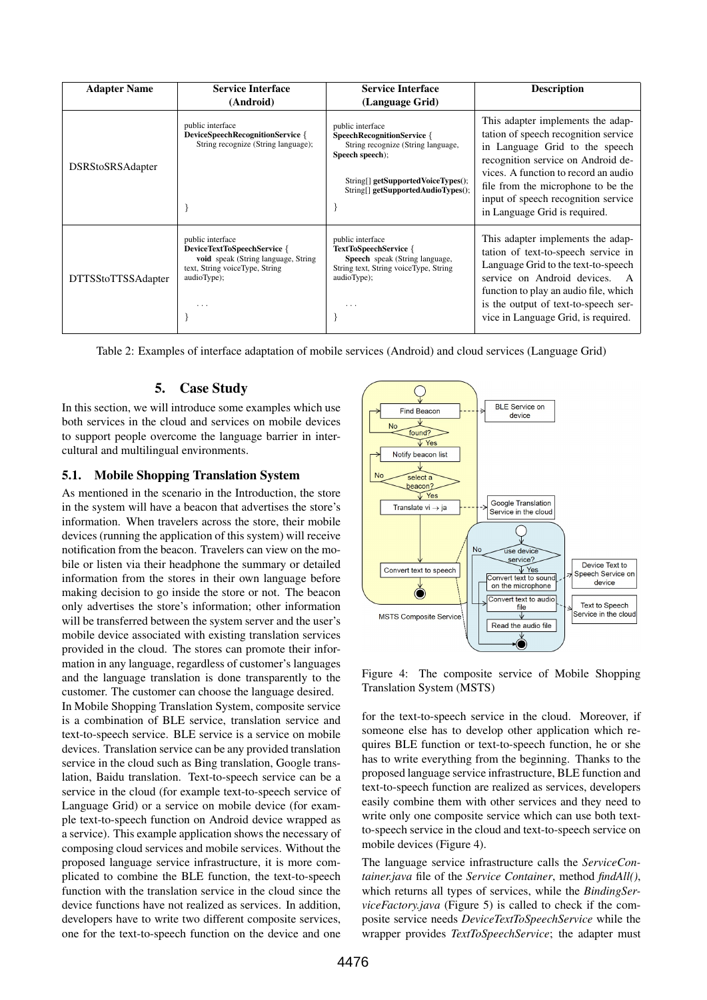| <b>Adapter Name</b>       | <b>Service Interface</b><br><b>Service Interface</b>                                                                                         |                                                                                                                                                                                            | <b>Description</b>                                                                                                                                                                                                                                                                                      |
|---------------------------|----------------------------------------------------------------------------------------------------------------------------------------------|--------------------------------------------------------------------------------------------------------------------------------------------------------------------------------------------|---------------------------------------------------------------------------------------------------------------------------------------------------------------------------------------------------------------------------------------------------------------------------------------------------------|
|                           | (Android)                                                                                                                                    | (Language Grid)                                                                                                                                                                            |                                                                                                                                                                                                                                                                                                         |
| DSRStoSRSAdapter          | public interface<br>DeviceSpeechRecognitionService {<br>String recognize (String language);                                                  | public interface<br><b>SpeechRecognitionService</b> {<br>String recognize (String language,<br>Speech speech);<br>String[] getSupportedVoiceTypes();<br>String[] getSupportedAudioTypes(); | This adapter implements the adap-<br>tation of speech recognition service<br>in Language Grid to the speech<br>recognition service on Android de-<br>vices. A function to record an audio<br>file from the microphone to be the<br>input of speech recognition service<br>in Language Grid is required. |
| <b>DTTSStoTTSSAdapter</b> | public interface<br>DeviceTextToSpeechService {<br>void speak (String language, String<br>text, String voiceType, String<br>audioType);<br>. | public interface<br><b>TextToSpeechService</b> {<br>Speech speak (String language,<br>String text, String voiceType, String<br>audioType);<br>$\cdots$                                     | This adapter implements the adap-<br>tation of text-to-speech service in<br>Language Grid to the text-to-speech<br>service on Android devices.<br>function to play an audio file, which<br>is the output of text-to-speech ser-<br>vice in Language Grid, is required.                                  |

Table 2: Examples of interface adaptation of mobile services (Android) and cloud services (Language Grid)

# 5. Case Study

In this section, we will introduce some examples which use both services in the cloud and services on mobile devices to support people overcome the language barrier in intercultural and multilingual environments.

### 5.1. Mobile Shopping Translation System

As mentioned in the scenario in the Introduction, the store in the system will have a beacon that advertises the store's information. When travelers across the store, their mobile devices (running the application of this system) will receive notification from the beacon. Travelers can view on the mobile or listen via their headphone the summary or detailed information from the stores in their own language before making decision to go inside the store or not. The beacon only advertises the store's information; other information will be transferred between the system server and the user's mobile device associated with existing translation services provided in the cloud. The stores can promote their information in any language, regardless of customer's languages and the language translation is done transparently to the customer. The customer can choose the language desired.

In Mobile Shopping Translation System, composite service is a combination of BLE service, translation service and text-to-speech service. BLE service is a service on mobile devices. Translation service can be any provided translation service in the cloud such as Bing translation, Google translation, Baidu translation. Text-to-speech service can be a service in the cloud (for example text-to-speech service of Language Grid) or a service on mobile device (for example text-to-speech function on Android device wrapped as a service). This example application shows the necessary of composing cloud services and mobile services. Without the proposed language service infrastructure, it is more complicated to combine the BLE function, the text-to-speech function with the translation service in the cloud since the device functions have not realized as services. In addition, developers have to write two different composite services, one for the text-to-speech function on the device and one



Figure 4: The composite service of Mobile Shopping Translation System (MSTS)

for the text-to-speech service in the cloud. Moreover, if someone else has to develop other application which requires BLE function or text-to-speech function, he or she has to write everything from the beginning. Thanks to the proposed language service infrastructure, BLE function and text-to-speech function are realized as services, developers easily combine them with other services and they need to write only one composite service which can use both textto-speech service in the cloud and text-to-speech service on mobile devices (Figure 4).

The language service infrastructure calls the *ServiceContainer.java* file of the *Service Container*, method *findAll()*, which returns all types of services, while the *BindingServiceFactory.java* (Figure 5) is called to check if the composite service needs *DeviceTextToSpeechService* while the wrapper provides *TextToSpeechService*; the adapter must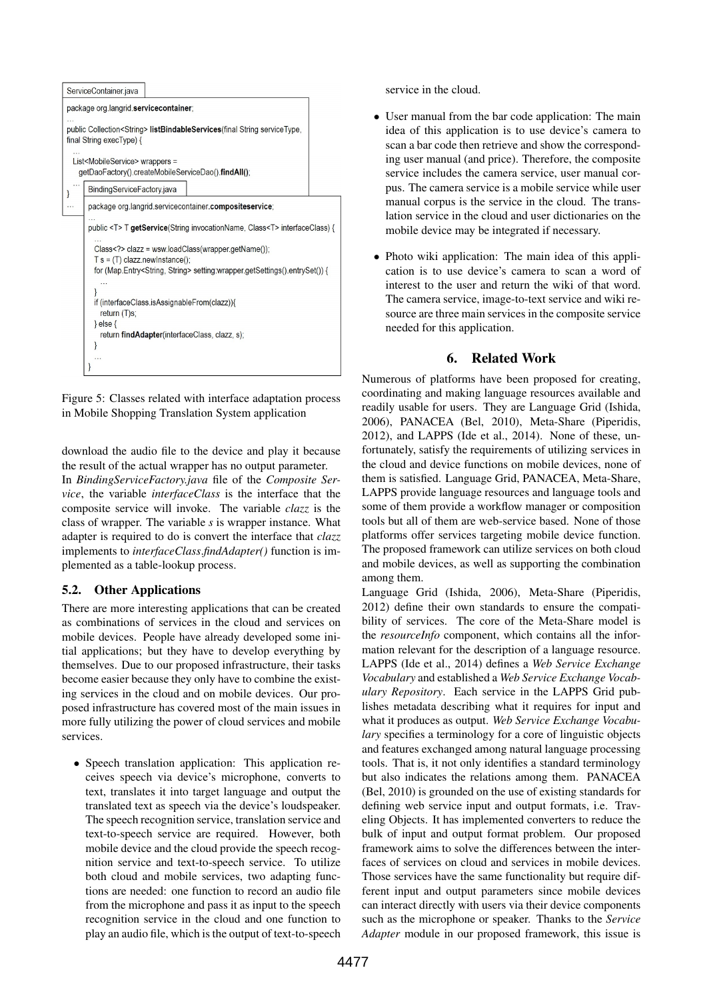

Figure 5: Classes related with interface adaptation process in Mobile Shopping Translation System application

download the audio file to the device and play it because the result of the actual wrapper has no output parameter.

In *BindingServiceFactory.java* file of the *Composite Service*, the variable *interfaceClass* is the interface that the composite service will invoke. The variable *clazz* is the class of wrapper. The variable *s* is wrapper instance. What adapter is required to do is convert the interface that *clazz* implements to *interfaceClass*.*findAdapter()* function is implemented as a table-lookup process.

# 5.2. Other Applications

There are more interesting applications that can be created as combinations of services in the cloud and services on mobile devices. People have already developed some initial applications; but they have to develop everything by themselves. Due to our proposed infrastructure, their tasks become easier because they only have to combine the existing services in the cloud and on mobile devices. Our proposed infrastructure has covered most of the main issues in more fully utilizing the power of cloud services and mobile services.

• Speech translation application: This application receives speech via device's microphone, converts to text, translates it into target language and output the translated text as speech via the device's loudspeaker. The speech recognition service, translation service and text-to-speech service are required. However, both mobile device and the cloud provide the speech recognition service and text-to-speech service. To utilize both cloud and mobile services, two adapting functions are needed: one function to record an audio file from the microphone and pass it as input to the speech recognition service in the cloud and one function to play an audio file, which is the output of text-to-speech service in the cloud.

- User manual from the bar code application: The main idea of this application is to use device's camera to scan a bar code then retrieve and show the corresponding user manual (and price). Therefore, the composite service includes the camera service, user manual corpus. The camera service is a mobile service while user manual corpus is the service in the cloud. The translation service in the cloud and user dictionaries on the mobile device may be integrated if necessary.
- Photo wiki application: The main idea of this application is to use device's camera to scan a word of interest to the user and return the wiki of that word. The camera service, image-to-text service and wiki resource are three main services in the composite service needed for this application.

# 6. Related Work

Numerous of platforms have been proposed for creating, coordinating and making language resources available and readily usable for users. They are Language Grid (Ishida, 2006), PANACEA (Bel, 2010), Meta-Share (Piperidis, 2012), and LAPPS (Ide et al., 2014). None of these, unfortunately, satisfy the requirements of utilizing services in the cloud and device functions on mobile devices, none of them is satisfied. Language Grid, PANACEA, Meta-Share, LAPPS provide language resources and language tools and some of them provide a workflow manager or composition tools but all of them are web-service based. None of those platforms offer services targeting mobile device function. The proposed framework can utilize services on both cloud and mobile devices, as well as supporting the combination among them.

Language Grid (Ishida, 2006), Meta-Share (Piperidis, 2012) define their own standards to ensure the compatibility of services. The core of the Meta-Share model is the *resourceInfo* component, which contains all the information relevant for the description of a language resource. LAPPS (Ide et al., 2014) defines a *Web Service Exchange Vocabulary* and established a *Web Service Exchange Vocabulary Repository*. Each service in the LAPPS Grid publishes metadata describing what it requires for input and what it produces as output. *Web Service Exchange Vocabulary* specifies a terminology for a core of linguistic objects and features exchanged among natural language processing tools. That is, it not only identifies a standard terminology but also indicates the relations among them. PANACEA (Bel, 2010) is grounded on the use of existing standards for defining web service input and output formats, i.e. Traveling Objects. It has implemented converters to reduce the bulk of input and output format problem. Our proposed framework aims to solve the differences between the interfaces of services on cloud and services in mobile devices. Those services have the same functionality but require different input and output parameters since mobile devices can interact directly with users via their device components such as the microphone or speaker. Thanks to the *Service Adapter* module in our proposed framework, this issue is